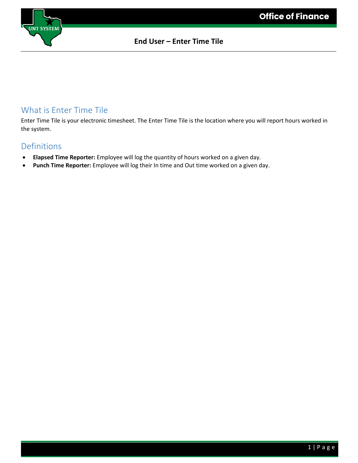

## What is Enter Time Tile

Enter Time Tile is your electronic timesheet. The Enter Time Tile is the location where you will report hours worked in the system.

### Definitions

- **Elapsed Time Reporter:** Employee will log the quantity of hours worked on a given day.
- **Punch Time Reporter:** Employee will log their In time and Out time worked on a given day.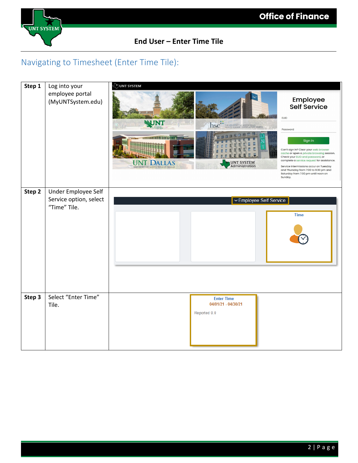

## Navigating to Timesheet (Enter Time Tile):

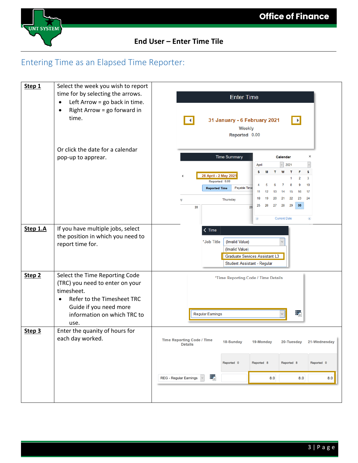

# Entering Time as an Elapsed Time Reporter:

| Step 1            | Select the week you wish to report<br>time for by selecting the arrows.<br>Left Arrow = go back in time.<br>$\bullet$<br>Right Arrow = go forward in<br>$\bullet$<br>time.                  | <b>Enter Time</b><br>31 January - 6 February 2021<br>∣∤<br>Weekly<br>Reported 0.00                                                                                                                                                                                                                                                                                                                                                                |
|-------------------|---------------------------------------------------------------------------------------------------------------------------------------------------------------------------------------------|---------------------------------------------------------------------------------------------------------------------------------------------------------------------------------------------------------------------------------------------------------------------------------------------------------------------------------------------------------------------------------------------------------------------------------------------------|
|                   | Or click the date for a calendar<br>pop-up to apprear.                                                                                                                                      | <b>Time Summary</b><br>Calendar<br>×<br>2021<br>April<br>s<br>s<br>М<br>W<br>т<br>F<br>т<br>26 April - 2 May 2021<br>$\overline{2}$<br>3<br>Reported 0.00<br>10<br>7<br>9<br>5<br>6<br>8<br>Payable Time<br><b>Reported Time</b><br>16<br>17<br>11<br>12<br>13<br>15<br>14<br>18<br>21<br>22<br>23<br>24<br>19<br>20<br><b>Thursday</b><br>ıy<br>30 <sub>o</sub><br>28<br>29<br>25<br>26<br>27<br>28<br>29<br><b>Current Date</b><br>◉<br>$\odot$ |
| Step 1.A          | If you have multiple jobs, select<br>the position in which you need to<br>report time for.                                                                                                  | $\zeta$ Time<br>*Job Title<br>(Invalid Value)<br>(Invalid Value)<br>Graduate Services Assistant L3<br>Student Assistant - Regular                                                                                                                                                                                                                                                                                                                 |
| Step <sub>2</sub> | Select the Time Reporting Code<br>(TRC) you need to enter on your<br>timesheet.<br>Refer to the Timesheet TRC<br>$\bullet$<br>Guide if you need more<br>information on which TRC to<br>use. | *Time Reporting Code / Time Details<br>÷,<br>Regular Earnings                                                                                                                                                                                                                                                                                                                                                                                     |
| Step 3            | Enter the quanity of hours for<br>each day worked.                                                                                                                                          | <b>Time Reporting Code / Time</b><br>20-Tuesday<br>21-Wednesday<br>18-Sunday<br>19-Monday<br>Details<br>Reported 8<br>Reported 8<br>Reported 0<br>Reported 0<br>÷,<br><b>REG - Regular Earnings</b><br>8.0<br>8.0<br>8.0                                                                                                                                                                                                                          |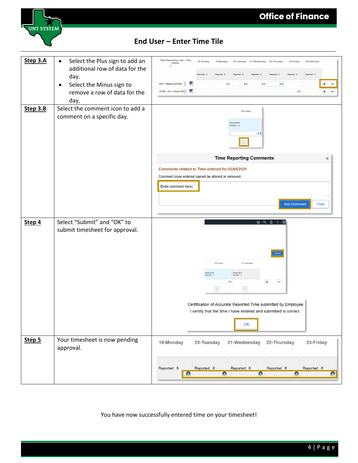

| Step 3.A<br>Step 3.B | Select the Plus sign to add an<br>$\bullet$<br>additional row of data for the<br>day.<br>Select the Minus sign to<br>٠<br>remove a row of data for the<br>day.<br>Select the comment icon to add a<br>comment on a specific day. | Time Reporting Code / Time<br><b>Details</b><br>V.<br>医<br><b>REG - Regular Earnings</b><br>蠹<br>UCWK - Univ. Closure Wri ~  | 18-Sunday                           | 19-Monday<br>8.0                 | 8.0<br>14-Friday<br>Scheduled 0<br>Reported 0<br>$\circ$  | 20-Tuesday 21-Wednesday 22-Thursday<br>8.0<br>8.0                                                                                                       | 8.0                                                                                                                                                                                                                                                                                                                                                                                | 23-Friday<br>8.0   | 24-Saturday<br>Reported 0 | ÷<br>÷<br>- |
|----------------------|----------------------------------------------------------------------------------------------------------------------------------------------------------------------------------------------------------------------------------|------------------------------------------------------------------------------------------------------------------------------|-------------------------------------|----------------------------------|-----------------------------------------------------------|---------------------------------------------------------------------------------------------------------------------------------------------------------|------------------------------------------------------------------------------------------------------------------------------------------------------------------------------------------------------------------------------------------------------------------------------------------------------------------------------------------------------------------------------------|--------------------|---------------------------|-------------|
|                      |                                                                                                                                                                                                                                  | Comments related to Time entered for 02/05/2021<br>Comment once entered cannot be altered or removed.<br>Enter comment here. |                                     |                                  |                                                           | <b>Time Reporting Comments</b>                                                                                                                          |                                                                                                                                                                                                                                                                                                                                                                                    | <b>Add Comment</b> |                           | ×<br>Clear  |
| Step 4               | Select "Submit" and "OK" to<br>submit timesheet for approval.                                                                                                                                                                    |                                                                                                                              | Scheduled C<br><b>Reported</b> 0    | 14-Friday<br>8.0<br>$\heartsuit$ | 15-Saturday<br>Scheduled 0<br>Reported 0<br>$\circ$<br>OK | $\left  + \right $<br>Certification of Accurate Reported Time submitted by Employee<br>I certify that the time I have entered and submitted is correct. | $\begin{picture}(160,170) \put(0,0){\makebox(0,0){$a$}} \put(15,0){\makebox(0,0){$b$}} \put(15,0){\makebox(0,0){$b$}} \put(15,0){\makebox(0,0){$b$}} \put(15,0){\makebox(0,0){$b$}} \put(15,0){\makebox(0,0){$b$}} \put(15,0){\makebox(0,0){$b$}} \put(15,0){\makebox(0,0){$b$}} \put(15,0){\makebox(0,0){$b$}} \put(15,0){\makebox(0,0){$b$}} \put(15,0){$<br>Submit<br>$\boxdot$ |                    |                           |             |
| Step 5               | Your timesheet is now pending<br>approval.                                                                                                                                                                                       | 19-Monday<br>Reported 8<br>B                                                                                                 | 20-Tuesday<br>Reported <sub>8</sub> | 盎                                | Reported 8                                                | 21-Wednesday 22-Thursday<br>畠                                                                                                                           | Reported 8                                                                                                                                                                                                                                                                                                                                                                         | 盎                  | 23-Friday<br>Reported 8   | 盘           |

You have now successfully entered time on your timesheet!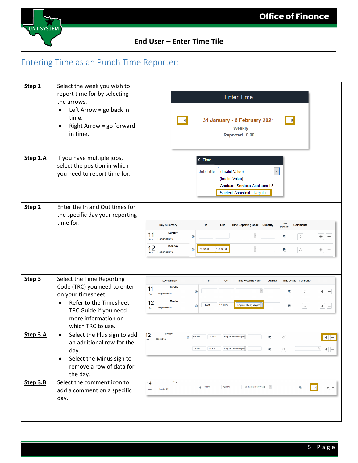

# Entering Time as an Punch Time Reporter:

| Step 1            | Select the week you wish to<br>report time for by selecting<br>the arrows.<br>Left Arrow = go back in<br>$\bullet$<br>time.<br>Right Arrow = go forward<br>$\bullet$<br>in time.            | <b>Enter Time</b><br>31 January - 6 February 2021<br><b>Weekly</b><br>Reported 0.00                                                                                                                                                                                                                                                                                          |
|-------------------|---------------------------------------------------------------------------------------------------------------------------------------------------------------------------------------------|------------------------------------------------------------------------------------------------------------------------------------------------------------------------------------------------------------------------------------------------------------------------------------------------------------------------------------------------------------------------------|
| Step 1.A          | If you have multiple jobs,<br>select the position in which<br>you need to report time for.                                                                                                  | $\zeta$ Time<br>*Job Title<br>(Invalid Value)<br>(Invalid Value)<br>Graduate Services Assistant L3<br>Student Assistant - Regular                                                                                                                                                                                                                                            |
| Step <sub>2</sub> | Enter the In and Out times for<br>the specific day your reporting<br>time for.                                                                                                              | <b>Time</b><br><b>Day Summary</b><br>In.<br>Out<br><b>Time Reporting Code Quantity</b><br><b>Comments</b><br><b>Details</b><br><b>Sunday</b><br>11<br>$\odot$<br>靠<br>$\circ$<br>$\pm$<br>$\overline{\phantom{m}}$<br>Reported 0.0<br>Apr<br><b>Monday</b><br>12<br>8:00AM<br>12:00PM<br>$\circ$<br>$\odot$<br>靠<br>$\pm$<br>$\overline{\phantom{m}}$<br>Reported 0.0<br>Apr |
| Step 3            | Select the Time Reporting<br>Code (TRC) you need to enter<br>on your timesheet.<br>Refer to the Timesheet<br>$\bullet$<br>TRC Guide if you need<br>more information on<br>which TRC to use. | In.<br><b>Day Summary</b><br>Out<br><b>Time Reporting Code</b><br>Quantity<br><b>Time Details Comments</b><br><b>Sunday</b><br>11<br>$\circ$<br>$+$ $-$<br>$\odot$<br>È.<br>Reported 0.0<br>Apr<br><b>Monday</b><br>12<br>12:00PM<br><b>Regular Hourly Wages</b><br>8:00AM<br>$\circ$<br>矛<br>$+ -$<br>$\odot$<br>Reported 0.0<br>Apr                                        |
| Step 3.A          | Select the Plus sign to add<br>$\bullet$<br>an additional row for the<br>day.<br>Select the Minus sign to<br>$\bullet$<br>remove a row of data for<br>the day.                              | Monday<br>12<br>12:00PM<br>Regular Hourly Wage ~<br>8:00AM<br>$\circ$<br>$+$ $-$<br>$\odot$<br>署<br>Reported 0.0<br>Apr<br>1:00PM<br>5:00PM<br>$\begin{array}{c c} \hline \text{Q} & \text{H} & \text{H} \\ \hline \end{array}$<br>Regular Hourly Wage ~<br>$\boxed{\circ}$<br>E,                                                                                            |
| Step 3.B          | Select the comment icon to<br>add a comment on a specific<br>day.                                                                                                                           | Friday<br>14<br>12:00PM<br>RHW - Regular Hourly Wages<br>8:00AM<br>$+$ $-$<br>$\odot$<br>Reported 0.0<br>May                                                                                                                                                                                                                                                                 |